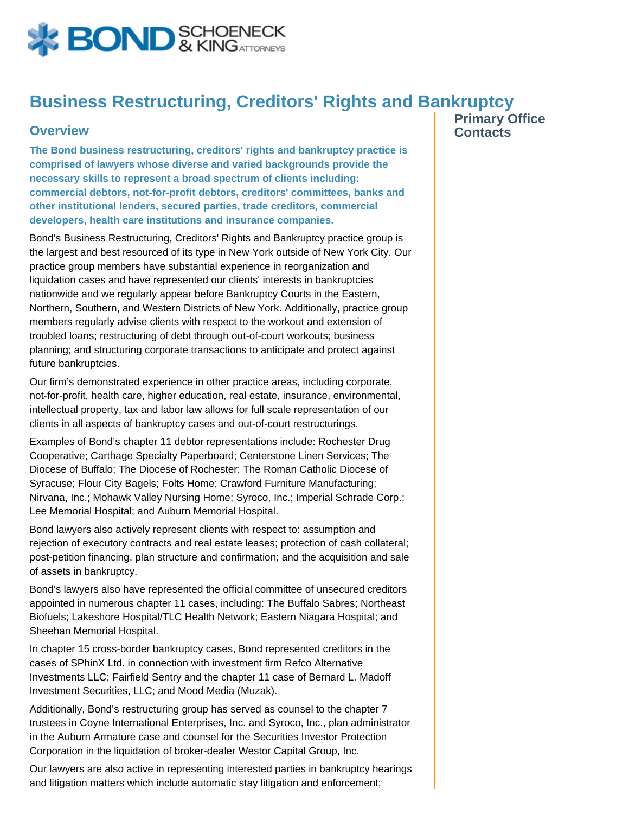

## **Business Restructuring, Creditors' Rights and Bankruptcy**

## **Overview**

**The Bond business restructuring, creditors' rights and bankruptcy practice is comprised of lawyers whose diverse and varied backgrounds provide the necessary skills to represent a broad spectrum of clients including: commercial debtors, not-for-profit debtors, creditors' committees, banks and other institutional lenders, secured parties, trade creditors, commercial developers, health care institutions and insurance companies.**

Bond's Business Restructuring, Creditors' Rights and Bankruptcy practice group is the largest and best resourced of its type in New York outside of New York City. Our practice group members have substantial experience in reorganization and liquidation cases and have represented our clients' interests in bankruptcies nationwide and we regularly appear before Bankruptcy Courts in the Eastern, Northern, Southern, and Western Districts of New York. Additionally, practice group members regularly advise clients with respect to the workout and extension of troubled loans; restructuring of debt through out-of-court workouts; business planning; and structuring corporate transactions to anticipate and protect against future bankruptcies.

Our firm's demonstrated experience in other practice areas, including corporate, not-for-profit, health care, higher education, real estate, insurance, environmental, intellectual property, tax and labor law allows for full scale representation of our clients in all aspects of bankruptcy cases and out-of-court restructurings.

Examples of Bond's chapter 11 debtor representations include: Rochester Drug Cooperative; Carthage Specialty Paperboard; Centerstone Linen Services; The Diocese of Buffalo; The Diocese of Rochester; The Roman Catholic Diocese of Syracuse; Flour City Bagels; Folts Home; Crawford Furniture Manufacturing; Nirvana, Inc.; Mohawk Valley Nursing Home; Syroco, Inc.; Imperial Schrade Corp.; Lee Memorial Hospital; and Auburn Memorial Hospital.

Bond lawyers also actively represent clients with respect to: assumption and rejection of executory contracts and real estate leases; protection of cash collateral; post-petition financing, plan structure and confirmation; and the acquisition and sale of assets in bankruptcy.

Bond's lawyers also have represented the official committee of unsecured creditors appointed in numerous chapter 11 cases, including: The Buffalo Sabres; Northeast Biofuels; Lakeshore Hospital/TLC Health Network; Eastern Niagara Hospital; and Sheehan Memorial Hospital.

In chapter 15 cross-border bankruptcy cases, Bond represented creditors in the cases of SPhinX Ltd. in connection with investment firm Refco Alternative Investments LLC; Fairfield Sentry and the chapter 11 case of Bernard L. Madoff Investment Securities, LLC; and Mood Media (Muzak).

Additionally, Bond's restructuring group has served as counsel to the chapter 7 trustees in Coyne International Enterprises, Inc. and Syroco, Inc., plan administrator in the Auburn Armature case and counsel for the Securities Investor Protection Corporation in the liquidation of broker-dealer Westor Capital Group, Inc.

Our lawyers are also active in representing interested parties in bankruptcy hearings and litigation matters which include automatic stay litigation and enforcement;

**Primary Office Contacts**